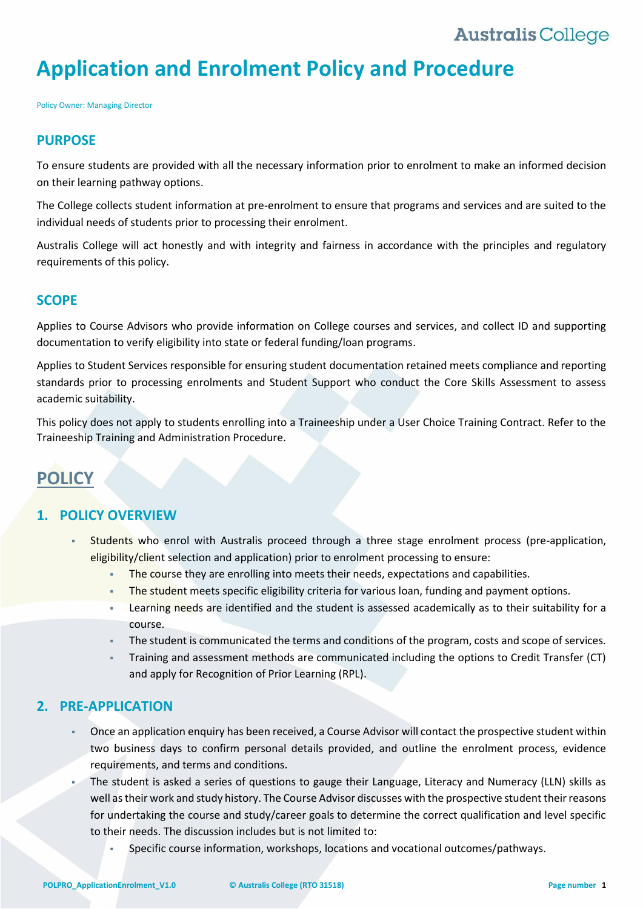# **Application and Enrolment Policy and Procedure**

Policy Owner: Managing Director

### **PURPOSE**

To ensure students are provided with all the necessary information prior to enrolment to make an informed decision on their learning pathway options.

The College collects student information at pre-enrolment to ensure that programs and services and are suited to the individual needs of students prior to processing their enrolment.

Australis College will act honestly and with integrity and fairness in accordance with the principles and regulatory requirements of this policy.

### **SCOPE**

Applies to Course Advisors who provide information on College courses and services, and collect ID and supporting documentation to verify eligibility into state or federal funding/loan programs.

Applies to Student Services responsible for ensuring student documentation retained meets compliance and reporting standards prior to processing enrolments and Student Support who conduct the Core Skills Assessment to assess academic suitability.

This policy does not apply to students enrolling into a Traineeship under a User Choice Training Contract. Refer to the Traineeship Training and Administration Procedure.

## **POLICY**

## **1. POLICY OVERVIEW**

- Students who enrol with Australis proceed through a three stage enrolment process (pre-application, eligibility/client selection and application) prior to enrolment processing to ensure:
	- The course they are enrolling into meets their needs, expectations and capabilities.
	- The student meets specific eligibility criteria for various loan, funding and payment options.
	- Learning needs are identified and the student is assessed academically as to their suitability for a course.
	- The student is communicated the terms and conditions of the program, costs and scope of services.
	- Training and assessment methods are communicated including the options to Credit Transfer (CT) and apply for Recognition of Prior Learning (RPL).

## **2. PRE-APPLICATION**

- Once an application enquiry has been received, a Course Advisor will contact the prospective student within two business days to confirm personal details provided, and outline the enrolment process, evidence requirements, and terms and conditions.
- The student is asked a series of questions to gauge their Language, Literacy and Numeracy (LLN) skills as well as their work and study history. The Course Advisor discusses with the prospective student their reasons for undertaking the course and study/career goals to determine the correct qualification and level specific to their needs. The discussion includes but is not limited to:
	- Specific course information, workshops, locations and vocational outcomes/pathways.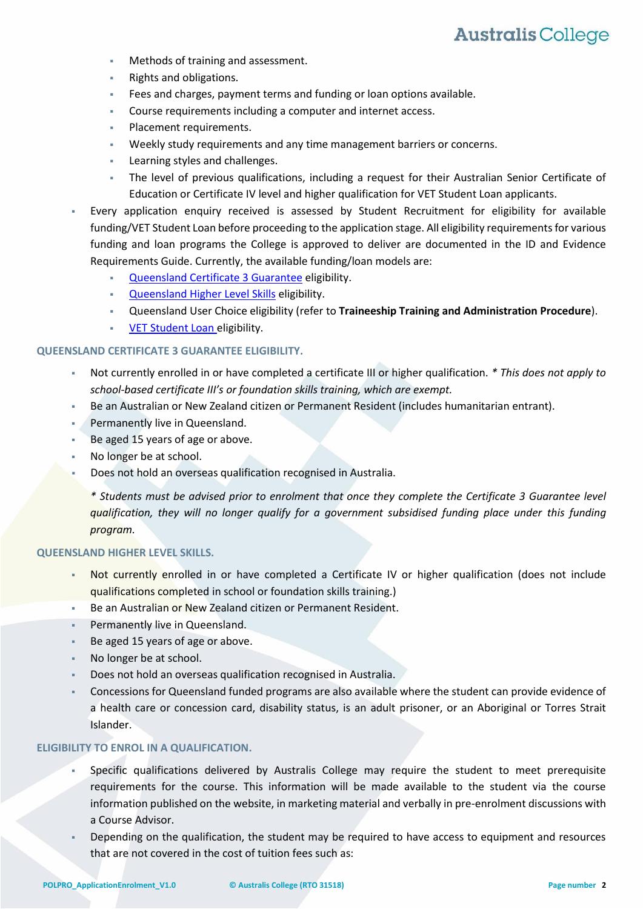- Methods of training and assessment.
- Rights and obligations.
- Fees and charges, payment terms and funding or loan options available.
- Course requirements including a computer and internet access.
- Placement requirements.
- Weekly study requirements and any time management barriers or concerns.
- Learning styles and challenges.
- The level of previous qualifications, including a request for their Australian Senior Certificate of Education or Certificate IV level and higher qualification for VET Student Loan applicants.
- Every application enquiry received is assessed by Student Recruitment for eligibility for available funding/VET Student Loan before proceeding to the application stage. All eligibility requirements for various funding and loan programs the College is approved to deliver are documented in the ID and Evidence Requirements Guide. Currently, the available funding/loan models are:
	- [Queensland Certificate 3 Guarantee](#page-1-0) eligibility.
	- **Queensland Higher Level Skills eligibility.**
	- Queensland User Choice eligibility (refer to **Traineeship Training and Administration Procedure**).
	- **[VET Student Loan](#page-2-0) eligibility.**

### <span id="page-1-0"></span>**QUEENSLAND CERTIFICATE 3 GUARANTEE ELIGIBILITY.**

- Not currently enrolled in or have completed a certificate III or higher qualification. *\* This does not apply to school-based certificate III's or foundation skills training, which are exempt.*
- Be an Australian or New Zealand citizen or Permanent Resident (includes humanitarian entrant).
- Permanently live in Queensland.
- Be aged 15 years of age or above.
- No longer be at school.
- Does not hold an overseas qualification recognised in Australia.

*\* Students must be advised prior to enrolment that once they complete the Certificate 3 Guarantee level qualification, they will no longer qualify for a government subsidised funding place under this funding program.* 

### **QUEENSLAND HIGHER LEVEL SKILLS.**

- Not currently enrolled in or have completed a Certificate IV or higher qualification (does not include qualifications completed in school or foundation skills training.)
- Be an Australian or New Zealand citizen or Permanent Resident.
- Permanently live in Queensland.
- Be aged 15 years of age or above.
- No longer be at school.
- Does not hold an overseas qualification recognised in Australia.
- Concessions for Queensland funded programs are also available where the student can provide evidence of a health care or concession card, disability status, is an adult prisoner, or an Aboriginal or Torres Strait Islander.

#### **ELIGIBILITY TO ENROL IN A QUALIFICATION.**

- Specific qualifications delivered by Australis College may require the student to meet prerequisite requirements for the course. This information will be made available to the student via the course information published on the website, in marketing material and verbally in pre-enrolment discussions with a Course Advisor.
- Depending on the qualification, the student may be required to have access to equipment and resources that are not covered in the cost of tuition fees such as: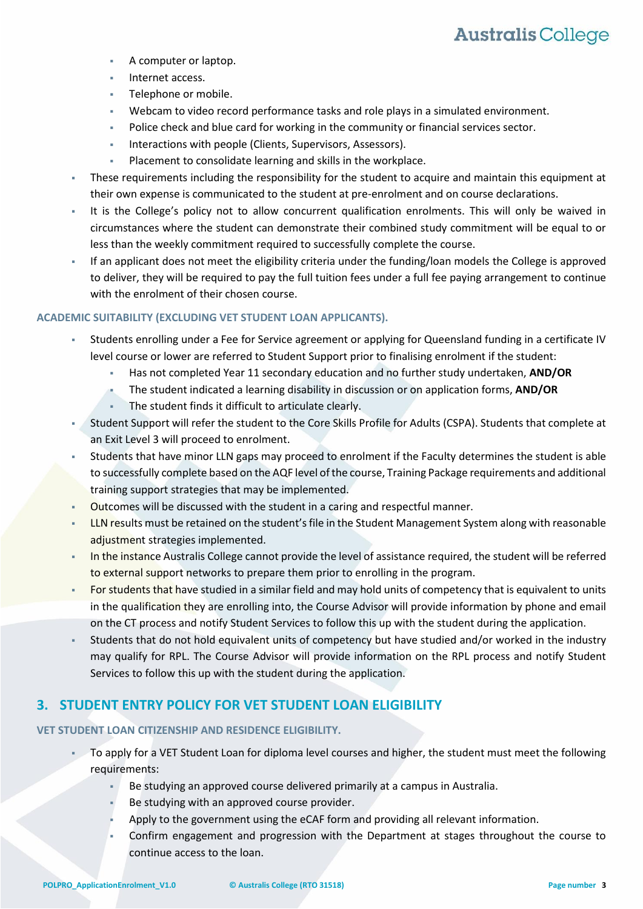- A computer or laptop.
- Internet access.
- Telephone or mobile.
- Webcam to video record performance tasks and role plays in a simulated environment.
- Police check and blue card for working in the community or financial services sector.
- Interactions with people (Clients, Supervisors, Assessors).
- Placement to consolidate learning and skills in the workplace.
- These requirements including the responsibility for the student to acquire and maintain this equipment at their own expense is communicated to the student at pre-enrolment and on course declarations.
- It is the College's policy not to allow concurrent qualification enrolments. This will only be waived in circumstances where the student can demonstrate their combined study commitment will be equal to or less than the weekly commitment required to successfully complete the course.
- If an applicant does not meet the eligibility criteria under the funding/loan models the College is approved to deliver, they will be required to pay the full tuition fees under a full fee paying arrangement to continue with the enrolment of their chosen course.

### **ACADEMIC SUITABILITY (EXCLUDING VET STUDENT LOAN APPLICANTS).**

- Students enrolling under a Fee for Service agreement or applying for Queensland funding in a certificate IV level course or lower are referred to Student Support prior to finalising enrolment if the student:
	- Has not completed Year 11 secondary education and no further study undertaken, **AND/OR**
	- The student indicated a learning disability in discussion or on application forms, **AND/OR**
	- The student finds it difficult to articulate clearly.
- Student Support will refer the student to the Core Skills Profile for Adults (CSPA). Students that complete at an Exit Level 3 will proceed to enrolment.
- Students that have minor LLN gaps may proceed to enrolment if the Faculty determines the student is able to successfully complete based on the AQF level of the course, Training Package requirements and additional training support strategies that may be implemented.
- Outcomes will be discussed with the student in a caring and respectful manner.
- LLN results must be retained on the student's file in the Student Management System along with reasonable adjustment strategies implemented.
- In the instance Australis College cannot provide the level of assistance required, the student will be referred to external support networks to prepare them prior to enrolling in the program.
- For students that have studied in a similar field and may hold units of competency that is equivalent to units in the qualification they are enrolling into, the Course Advisor will provide information by phone and email on the CT process and notify Student Services to follow this up with the student during the application.
- Students that do not hold equivalent units of competency but have studied and/or worked in the industry may qualify for RPL. The Course Advisor will provide information on the RPL process and notify Student Services to follow this up with the student during the application.

## <span id="page-2-0"></span>**3. STUDENT ENTRY POLICY FOR VET STUDENT LOAN ELIGIBILITY**

### **VET STUDENT LOAN CITIZENSHIP AND RESIDENCE ELIGIBILITY.**

- To apply for a VET Student Loan for diploma level courses and higher, the student must meet the following requirements:
	- Be studying an approved course delivered primarily at a campus in Australia.
	- Be studying with an approved course provider.
	- Apply to the government using the eCAF form and providing all relevant information.
	- Confirm engagement and progression with the Department at stages throughout the course to continue access to the loan.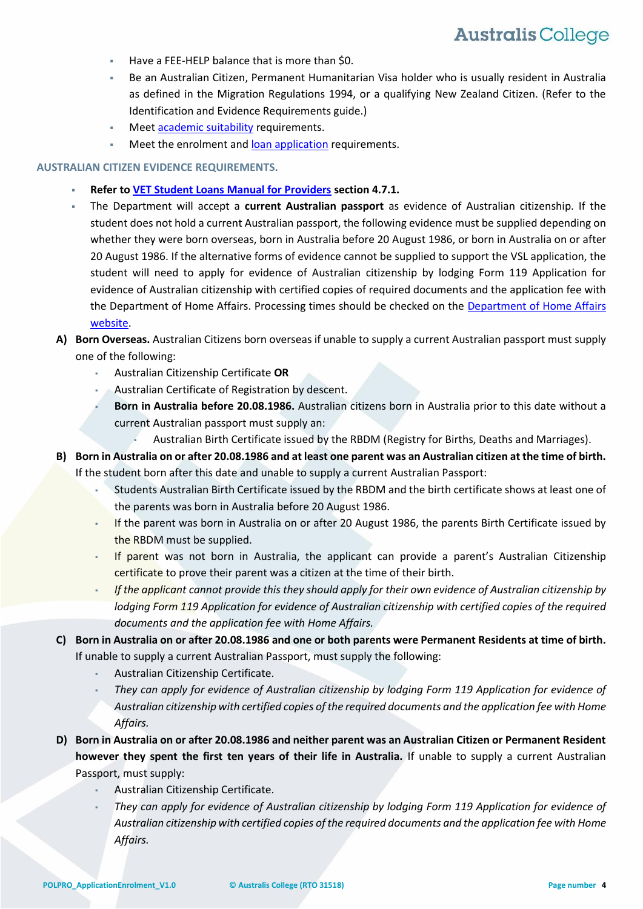- Have a FEE-HELP balance that is more than \$0.
- Be an Australian Citizen, Permanent Humanitarian Visa holder who is usually resident in Australia as defined in the Migration Regulations 1994, or a qualifying New Zealand Citizen. (Refer to the Identification and Evidence Requirements guide.)
- Meet [academic suitability](#page-4-0) requirements.
- Meet the enrolment an[d loan application](#page-5-0) requirements.

#### **AUSTRALIAN CITIZEN EVIDENCE REQUIREMENTS.**

- **Refer to [VET Student Loans Manual for Providers](https://docs.education.gov.au/documents/vet-student-loans-manual-providers) section 4.7.1.**
- The Department will accept a **current Australian passport** as evidence of Australian citizenship. If the student does not hold a current Australian passport, the following evidence must be supplied depending on whether they were born overseas, born in Australia before 20 August 1986, or born in Australia on or after 20 August 1986. If the alternative forms of evidence cannot be supplied to support the VSL application, the student will need to apply for evidence of Australian citizenship by lodging Form 119 Application for evidence of Australian citizenship with certified copies of required documents and the application fee with the Department of Home Affairs. Processing times should be checked on the [Department of Home Affairs](https://immi.homeaffairs.gov.au/citizenship/citizenship-processing-times)  [website.](https://immi.homeaffairs.gov.au/citizenship/citizenship-processing-times)

### **A) Born Overseas.** Australian Citizens born overseas if unable to supply a current Australian passport must supply one of the following:

- Australian Citizenship Certificate **OR**
- Australian Certificate of Registration by descent.
- Born in Australia before 20.08.1986. Australian citizens born in Australia prior to this date without a current Australian passport must supply an:
	- Australian Birth Certificate issued by the RBDM (Registry for Births, Deaths and Marriages).
- **B) Born in Australia on or after 20.08.1986 and at least one parent was an Australian citizen at the time of birth.**  If the student born after this date and unable to supply a current Australian Passport:
	- Students Australian Birth Certificate issued by the RBDM and the birth certificate shows at least one of the parents was born in Australia before 20 August 1986.
	- If the parent was born in Australia on or after 20 August 1986, the parents Birth Certificate issued by the RBDM must be supplied.
	- If parent was not born in Australia, the applicant can provide a parent's Australian Citizenship certificate to prove their parent was a citizen at the time of their birth.
	- If the applicant cannot provide this they should apply for their own evidence of Australian citizenship by *lodging Form 119 Application for evidence of Australian citizenship with certified copies of the required documents and the application fee with Home Affairs.*
- **C) Born in Australia on or after 20.08.1986 and one or both parents were Permanent Residents at time of birth.**  If unable to supply a current Australian Passport, must supply the following:
	- Australian Citizenship Certificate.
	- They can apply for evidence of Australian citizenship by lodging Form 119 Application for evidence of *Australian citizenship with certified copies of the required documents and the application fee with Home Affairs.*
- **D) Born in Australia on or after 20.08.1986 and neither parent was an Australian Citizen or Permanent Resident however they spent the first ten years of their life in Australia.** If unable to supply a current Australian Passport, must supply:
	- Australian Citizenship Certificate.
	- They can apply for evidence of Australian citizenship by lodging Form 119 Application for evidence of *Australian citizenship with certified copies of the required documents and the application fee with Home Affairs.*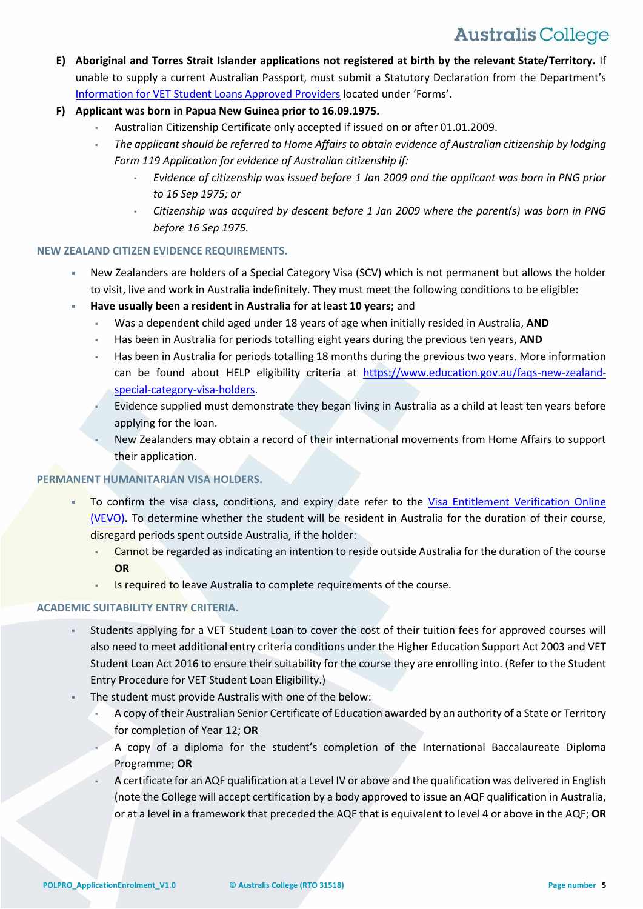- **E) Aboriginal and Torres Strait Islander applications not registered at birth by the relevant State/Territory.** If unable to supply a current Australian Passport, must submit a Statutory Declaration from the Department's [Information for VET Student Loans Approved Providers](https://www.education.gov.au/information-vet-student-loans-approved-providers) located under 'Forms'.
- **F) Applicant was born in Papua New Guinea prior to 16.09.1975.**
	- Australian Citizenship Certificate only accepted if issued on or after 01.01.2009.
	- *The applicant should be referred to Home Affairs to obtain evidence of Australian citizenship by lodging Form 119 Application for evidence of Australian citizenship if:* 
		- *Evidence of citizenship was issued before 1 Jan 2009 and the applicant was born in PNG prior to 16 Sep 1975; or*
		- *Citizenship was acquired by descent before 1 Jan 2009 where the parent(s) was born in PNG before 16 Sep 1975.*

### **NEW ZEALAND CITIZEN EVIDENCE REQUIREMENTS.**

- New Zealanders are holders of a Special Category Visa (SCV) which is not permanent but allows the holder to visit, live and work in Australia indefinitely. They must meet the following conditions to be eligible:
- **Have usually been a resident in Australia for at least 10 years;** and
	- Was a dependent child aged under 18 years of age when initially resided in Australia, AND
	- Has been in Australia for periods totalling eight years during the previous ten years, AND
	- Has been in Australia for periods totalling 18 months during the previous two years. More information can be found about HELP eligibility criteria at [https://www.education.gov.au/faqs-new-zealand](https://www.education.gov.au/faqs-new-zealand-special-category-visa-holders)[special-category-visa-holders.](https://www.education.gov.au/faqs-new-zealand-special-category-visa-holders)
	- Evidence supplied must demonstrate they began living in Australia as a child at least ten years before applying for the loan.
	- New Zealanders may obtain a record of their international movements from Home Affairs to support their application.

### **PERMANENT HUMANITARIAN VISA HOLDERS.**

- To confirm the visa class, conditions, and expiry date refer to the [Visa Entitlement Verification Online](https://immi.homeaffairs.gov.au/visas/already-have-a-visa/check-visa-details-and-conditions/check-conditions-online)  [\(VEVO\)](https://immi.homeaffairs.gov.au/visas/already-have-a-visa/check-visa-details-and-conditions/check-conditions-online)**.** To determine whether the student will be resident in Australia for the duration of their course, disregard periods spent outside Australia, if the holder:
	- Cannot be regarded as indicating an intention to reside outside Australia for the duration of the course **OR**
	- Is required to leave Australia to complete requirements of the course.

### <span id="page-4-0"></span>**ACADEMIC SUITABILITY ENTRY CRITERIA.**

- Students applying for a VET Student Loan to cover the cost of their tuition fees for approved courses will also need to meet additional entry criteria conditions under the Higher Education Support Act 2003 and VET Student Loan Act 2016 to ensure their suitability for the course they are enrolling into. (Refer to the Student Entry Procedure for VET Student Loan Eligibility.)
- The student must provide Australis with one of the below:
	- A copy of their Australian Senior Certificate of Education awarded by an authority of a State or Territory for completion of Year 12; **OR**
	- A copy of a diploma for the student's completion of the International Baccalaureate Diploma Programme; **OR**
	- A certificate for an AQF qualification at a Level IV or above and the qualification was delivered in English (note the College will accept certification by a body approved to issue an AQF qualification in Australia, or at a level in a framework that preceded the AQF that is equivalent to level 4 or above in the AQF; **OR**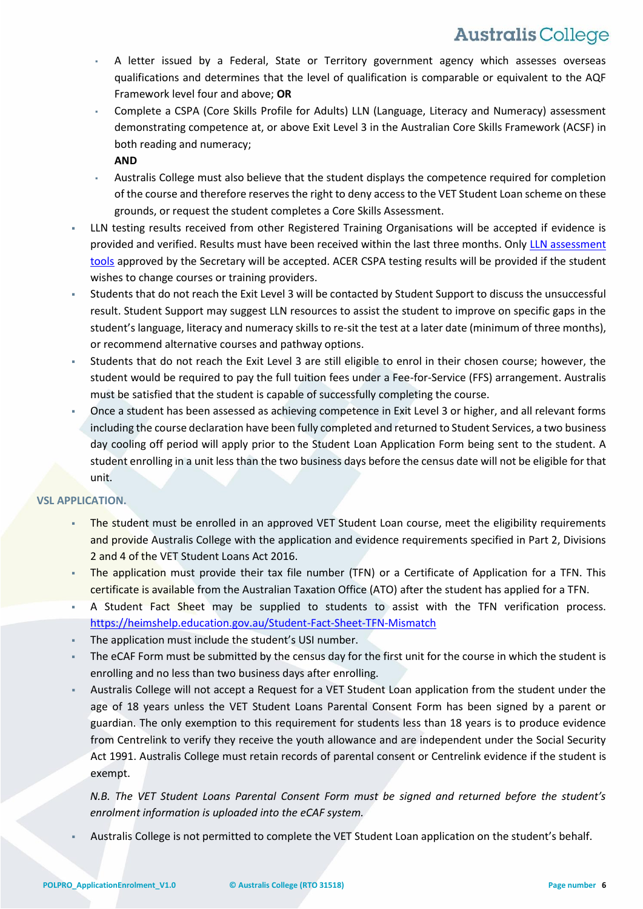- A letter issued by a Federal, State or Territory government agency which assesses overseas qualifications and determines that the level of qualification is comparable or equivalent to the AQF Framework level four and above; **OR**
- Complete a CSPA (Core Skills Profile for Adults) LLN (Language, Literacy and Numeracy) assessment demonstrating competence at, or above Exit Level 3 in the Australian Core Skills Framework (ACSF) in both reading and numeracy;
	- **AND**
- Australis College must also believe that the student displays the competence required for completion of the course and therefore reserves the right to deny access to the VET Student Loan scheme on these grounds, or request the student completes a Core Skills Assessment.
- LLN testing results received from other Registered Training Organisations will be accepted if evidence is provided and verified. Results must have been received within the last three months. Only [LLN assessment](#page-15-0)  [tools](#page-15-0) approved by the Secretary will be accepted. ACER CSPA testing results will be provided if the student wishes to change courses or training providers.
- Students that do not reach the Exit Level 3 will be contacted by Student Support to discuss the unsuccessful result. Student Support may suggest LLN resources to assist the student to improve on specific gaps in the student's language, literacy and numeracy skills to re-sit the test at a later date (minimum of three months), or recommend alternative courses and pathway options.
- Students that do not reach the Exit Level 3 are still eligible to enrol in their chosen course; however, the student would be required to pay the full tuition fees under a Fee-for-Service (FFS) arrangement. Australis must be satisfied that the student is capable of successfully completing the course.
- Once a student has been assessed as achieving competence in Exit Level 3 or higher, and all relevant forms including the course declaration have been fully completed and returned to Student Services, a two business day cooling off period will apply prior to the Student Loan Application Form being sent to the student. A student enrolling in a unit less than the two business days before the census date will not be eligible for that unit.

### <span id="page-5-0"></span>**VSL APPLICATION.**

- The student must be enrolled in an approved VET Student Loan course, meet the eligibility requirements and provide Australis College with the application and evidence requirements specified in Part 2, Divisions 2 and 4 of the VET Student Loans Act 2016.
- The application must provide their tax file number (TFN) or a Certificate of Application for a TFN. This certificate is available from the Australian Taxation Office (ATO) after the student has applied for a TFN.
- A Student Fact Sheet may be supplied to students to assist with the TFN verification process. <https://heimshelp.education.gov.au/Student-Fact-Sheet-TFN-Mismatch>
- The application must include the student's USI number.
- The eCAF Form must be submitted by the census day for the first unit for the course in which the student is enrolling and no less than two business days after enrolling.
- Australis College will not accept a Request for a VET Student Loan application from the student under the age of 18 years unless the VET Student Loans Parental Consent Form has been signed by a parent or guardian. The only exemption to this requirement for students less than 18 years is to produce evidence from Centrelink to verify they receive the youth allowance and are independent under the Social Security Act 1991. Australis College must retain records of parental consent or Centrelink evidence if the student is exempt.

*N.B. The VET Student Loans Parental Consent Form must be signed and returned before the student's enrolment information is uploaded into the eCAF system.* 

Australis College is not permitted to complete the VET Student Loan application on the student's behalf.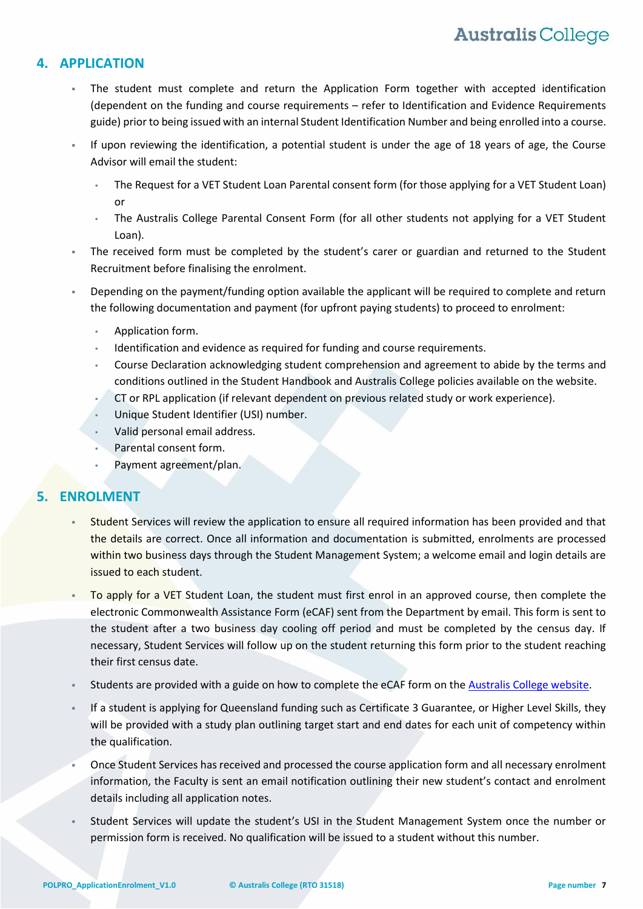## **4. APPLICATION**

- The student must complete and return the Application Form together with accepted identification (dependent on the funding and course requirements – refer to Identification and Evidence Requirements guide) prior to being issued with an internal Student Identification Number and being enrolled into a course.
- If upon reviewing the identification, a potential student is under the age of 18 years of age, the Course Advisor will email the student:
	- The Request for a VET Student Loan Parental consent form (for those applying for a VET Student Loan) or
	- The Australis College Parental Consent Form (for all other students not applying for a VET Student Loan).
- The received form must be completed by the student's carer or guardian and returned to the Student Recruitment before finalising the enrolment.
- Depending on the payment/funding option available the applicant will be required to complete and return the following documentation and payment (for upfront paying students) to proceed to enrolment:
	- Application form.
	- Identification and evidence as required for funding and course requirements.
	- Course Declaration acknowledging student comprehension and agreement to abide by the terms and conditions outlined in the Student Handbook and Australis College policies available on the website.
	- CT or RPL application (if relevant dependent on previous related study or work experience).
	- Unique Student Identifier (USI) number.
	- Valid personal email address.
	- Parental consent form.
	- Payment agreement/plan.

## **5. ENROLMENT**

- Student Services will review the application to ensure all required information has been provided and that the details are correct. Once all information and documentation is submitted, enrolments are processed within two business days through the Student Management System; a welcome email and login details are issued to each student.
- To apply for a VET Student Loan, the student must first enrol in an approved course, then complete the electronic Commonwealth Assistance Form (eCAF) sent from the Department by email. This form is sent to the student after a two business day cooling off period and must be completed by the census day. If necessary, Student Services will follow up on the student returning this form prior to the student reaching their first census date.
- Students are provided with a guide on how to complete the eCAF form on the [Australis College website.](https://www.australiscollege.edu.au/vet-student-loan/)
- If a student is applying for Queensland funding such as Certificate 3 Guarantee, or Higher Level Skills, they will be provided with a study plan outlining target start and end dates for each unit of competency within the qualification.
- Once Student Services has received and processed the course application form and all necessary enrolment information, the Faculty is sent an email notification outlining their new student's contact and enrolment details including all application notes.
- Student Services will update the student's USI in the Student Management System once the number or permission form is received. No qualification will be issued to a student without this number.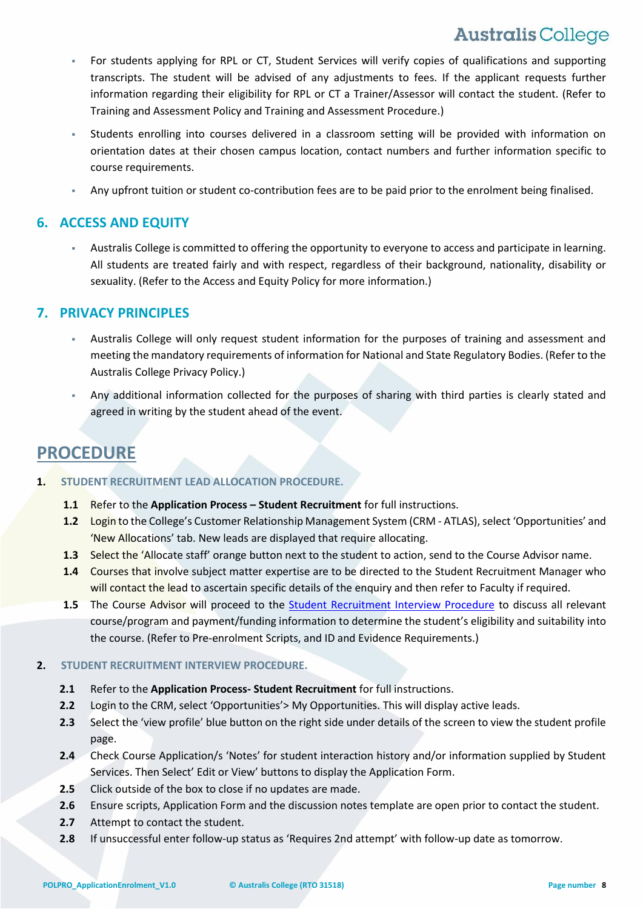- For students applying for RPL or CT, Student Services will verify copies of qualifications and supporting transcripts. The student will be advised of any adjustments to fees. If the applicant requests further information regarding their eligibility for RPL or CT a Trainer/Assessor will contact the student. (Refer to Training and Assessment Policy and Training and Assessment Procedure.)
- Students enrolling into courses delivered in a classroom setting will be provided with information on orientation dates at their chosen campus location, contact numbers and further information specific to course requirements.
- Any upfront tuition or student co-contribution fees are to be paid prior to the enrolment being finalised.

## **6. ACCESS AND EQUITY**

 Australis College is committed to offering the opportunity to everyone to access and participate in learning. All students are treated fairly and with respect, regardless of their background, nationality, disability or sexuality. (Refer to the Access and Equity Policy for more information.)

## **7. PRIVACY PRINCIPLES**

- Australis College will only request student information for the purposes of training and assessment and meeting the mandatory requirements of information for National and State Regulatory Bodies. (Refer to the Australis College Privacy Policy.)
- Any additional information collected for the purposes of sharing with third parties is clearly stated and agreed in writing by the student ahead of the event.

## **PROCEDURE**

- **1. STUDENT RECRUITMENT LEAD ALLOCATION PROCEDURE.**
	- **1.1** Refer to the **Application Process – Student Recruitment** for full instructions.
	- **1.2** Login to the College's Customer Relationship Management System (CRM ATLAS), select 'Opportunities' and 'New Allocations' tab. New leads are displayed that require allocating.
	- **1.3** Select the 'Allocate staff' orange button next to the student to action, send to the Course Advisor name.
	- **1.4** Courses that involve subject matter expertise are to be directed to the Student Recruitment Manager who will contact the lead to ascertain specific details of the enquiry and then refer to Faculty if required.
	- **1.5** The Course Advisor will proceed to the [Student Recruitment Interview Procedure](#page-7-0) to discuss all relevant course/program and payment/funding information to determine the student's eligibility and suitability into the course. (Refer to Pre-enrolment Scripts, and ID and Evidence Requirements.)

### <span id="page-7-0"></span>**2. STUDENT RECRUITMENT INTERVIEW PROCEDURE.**

- **2.1** Refer to the **Application Process- Student Recruitment** for full instructions.
- **2.2** Login to the CRM, select 'Opportunities'> My Opportunities. This will display active leads.
- **2.3** Select the 'view profile' blue button on the right side under details of the screen to view the student profile page.
- **2.4** Check Course Application/s 'Notes' for student interaction history and/or information supplied by Student Services. Then Select' Edit or View' buttons to display the Application Form.
- **2.5** Click outside of the box to close if no updates are made.
- **2.6** Ensure scripts, Application Form and the discussion notes template are open prior to contact the student.
- **2.7** Attempt to contact the student.
- **2.8** If unsuccessful enter follow-up status as 'Requires 2nd attempt' with follow-up date as tomorrow.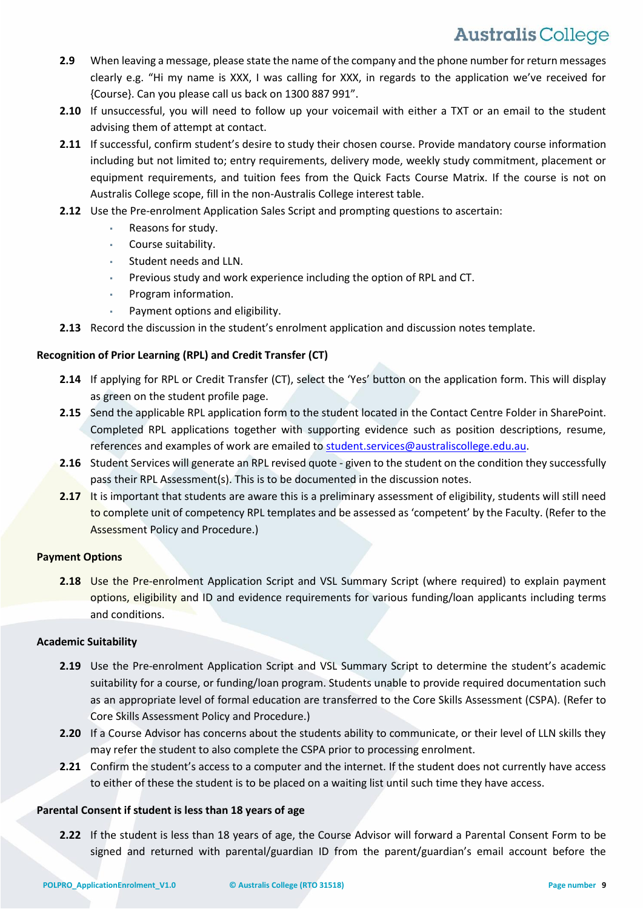- **2.9** When leaving a message, please state the name of the company and the phone number for return messages clearly e.g. "Hi my name is XXX, I was calling for XXX, in regards to the application we've received for {Course}. Can you please call us back on 1300 887 991".
- **2.10** If unsuccessful, you will need to follow up your voicemail with either a TXT or an email to the student advising them of attempt at contact.
- **2.11** If successful, confirm student's desire to study their chosen course. Provide mandatory course information including but not limited to; entry requirements, delivery mode, weekly study commitment, placement or equipment requirements, and tuition fees from the Quick Facts Course Matrix. If the course is not on Australis College scope, fill in the non-Australis College interest table.
- **2.12** Use the Pre-enrolment Application Sales Script and prompting questions to ascertain:
	- Reasons for study.
	- Course suitability.
	- Student needs and LLN.
	- Previous study and work experience including the option of RPL and CT.
	- Program information.
	- Payment options and eligibility.
- **2.13** Record the discussion in the student's enrolment application and discussion notes template.

### **Recognition of Prior Learning (RPL) and Credit Transfer (CT)**

- **2.14** If applying for RPL or Credit Transfer (CT), select the 'Yes' button on the application form. This will display as green on the student profile page.
- **2.15** Send the applicable RPL application form to the student located in the Contact Centre Folder in SharePoint. Completed RPL applications together with supporting evidence such as position descriptions, resume, references and examples of work are emailed to [student.services@australiscollege.edu.au.](mailto:student.services@australiscollege.edu.au)
- **2.16** Student Services will generate an RPL revised quote given to the student on the condition they successfully pass their RPL Assessment(s). This is to be documented in the discussion notes.
- **2.17** It is important that students are aware this is a preliminary assessment of eligibility, students will still need to complete unit of competency RPL templates and be assessed as 'competent' by the Faculty. (Refer to the Assessment Policy and Procedure.)

### **Payment Options**

**2.18** Use the Pre-enrolment Application Script and VSL Summary Script (where required) to explain payment options, eligibility and ID and evidence requirements for various funding/loan applicants including terms and conditions.

### **Academic Suitability**

- **2.19** Use the Pre-enrolment Application Script and VSL Summary Script to determine the student's academic suitability for a course, or funding/loan program. Students unable to provide required documentation such as an appropriate level of formal education are transferred to the Core Skills Assessment (CSPA). (Refer to Core Skills Assessment Policy and Procedure.)
- **2.20** If a Course Advisor has concerns about the students ability to communicate, or their level of LLN skills they may refer the student to also complete the CSPA prior to processing enrolment.
- **2.21** Confirm the student's access to a computer and the internet. If the student does not currently have access to either of these the student is to be placed on a waiting list until such time they have access.

### **Parental Consent if student is less than 18 years of age**

**2.22** If the student is less than 18 years of age, the Course Advisor will forward a Parental Consent Form to be signed and returned with parental/guardian ID from the parent/guardian's email account before the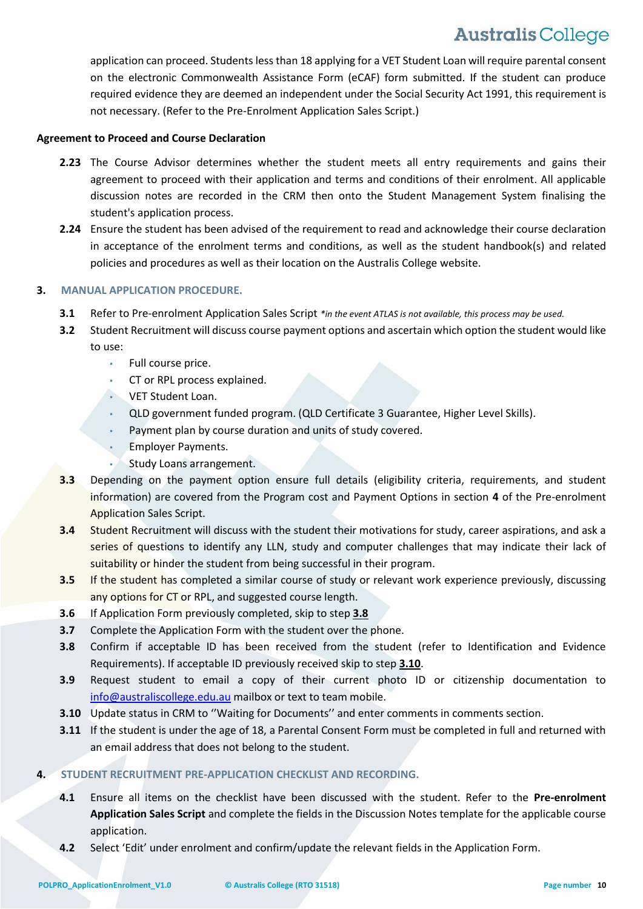application can proceed. Students less than 18 applying for a VET Student Loan will require parental consent on the electronic Commonwealth Assistance Form (eCAF) form submitted. If the student can produce required evidence they are deemed an independent under the Social Security Act 1991, this requirement is not necessary. (Refer to the Pre-Enrolment Application Sales Script.)

### **Agreement to Proceed and Course Declaration**

- **2.23** The Course Advisor determines whether the student meets all entry requirements and gains their agreement to proceed with their application and terms and conditions of their enrolment. All applicable discussion notes are recorded in the CRM then onto the Student Management System finalising the student's application process.
- **2.24** Ensure the student has been advised of the requirement to read and acknowledge their course declaration in acceptance of the enrolment terms and conditions, as well as the student handbook(s) and related policies and procedures as well as their location on the Australis College website.

### **3. MANUAL APPLICATION PROCEDURE.**

- **3.1** Refer to Pre-enrolment Application Sales Script *\*in the event ATLAS is not available, this process may be used.*
- **3.2** Student Recruitment will discuss course payment options and ascertain which option the student would like to use:
	- Full course price.
	- CT or RPL process explained.
	- VET Student Loan.
	- QLD government funded program. (QLD Certificate 3 Guarantee, Higher Level Skills).
	- Payment plan by course duration and units of study covered.
	- **Employer Payments.**
	- Study Loans arrangement.
- **3.3** Depending on the payment option ensure full details (eligibility criteria, requirements, and student information) are covered from the Program cost and Payment Options in section **4** of the Pre-enrolment Application Sales Script.
- **3.4** Student Recruitment will discuss with the student their motivations for study, career aspirations, and ask a series of questions to identify any LLN, study and computer challenges that may indicate their lack of suitability or hinder the student from being successful in their program.
- **3.5** If the student has completed a similar course of study or relevant work experience previously, discussing any options for CT or RPL, and suggested course length.
- **3.6** If Application Form previously completed, skip to step **3.8**
- **3.7** Complete the Application Form with the student over the phone.
- **3.8** Confirm if acceptable ID has been received from the student (refer to Identification and Evidence Requirements). If acceptable ID previously received skip to step **[3.10](#page-10-0)**.
- **3.9** Request student to email a copy of their current photo ID or citizenship documentation to [info@australiscollege.edu.au](mailto:info@australiscollege.edu.au) mailbox or text to team mobile.
- **3.10** Update status in CRM to "Waiting for Documents" and enter comments in comments section.
- **3.11** If the student is under the age of 18, a Parental Consent Form must be completed in full and returned with an email address that does not belong to the student.
- **4. STUDENT RECRUITMENT PRE-APPLICATION CHECKLIST AND RECORDING.** 
	- **4.1** Ensure all items on the checklist have been discussed with the student. Refer to the **Pre-enrolment Application Sales Script** and complete the fields in the Discussion Notes template for the applicable course application.
	- **4.2** Select 'Edit' under enrolment and confirm/update the relevant fields in the Application Form.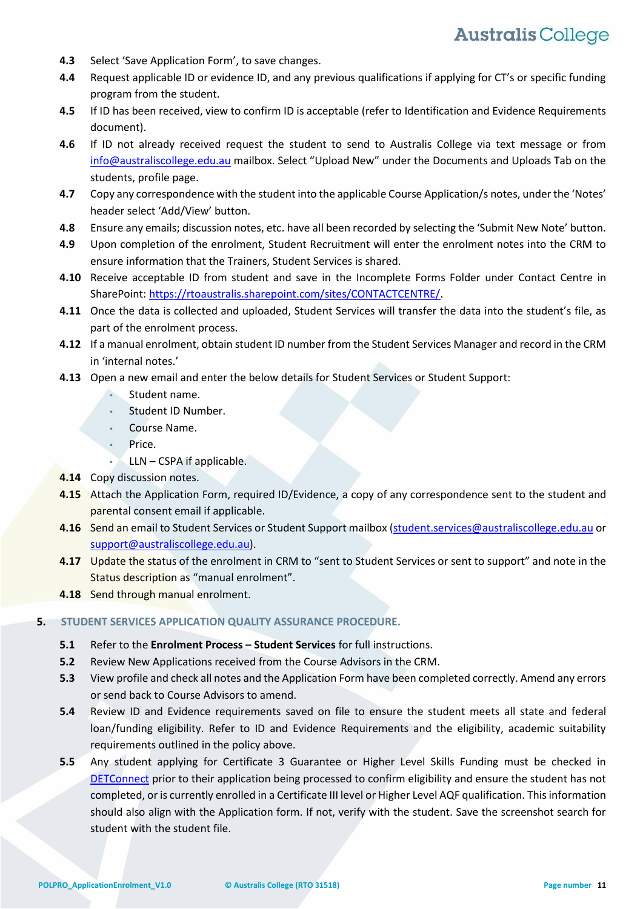- **4.3** Select 'Save Application Form', to save changes.
- **4.4** Request applicable ID or evidence ID, and any previous qualifications if applying for CT's or specific funding program from the student.
- **4.5** If ID has been received, view to confirm ID is acceptable (refer to Identification and Evidence Requirements document).
- **4.6** If ID not already received request the student to send to Australis College via text message or from [info@australiscollege.edu.au](mailto:info@australiscollege.edu.au) mailbox. Select "Upload New" under the Documents and Uploads Tab on the students, profile page.
- **4.7** Copy any correspondence with the student into the applicable Course Application/s notes, under the 'Notes' header select 'Add/View' button.
- **4.8** Ensure any emails; discussion notes, etc. have all been recorded by selecting the 'Submit New Note' button.
- **4.9** Upon completion of the enrolment, Student Recruitment will enter the enrolment notes into the CRM to ensure information that the Trainers, Student Services is shared.
- **4.10** Receive acceptable ID from student and save in the Incomplete Forms Folder under Contact Centre in SharePoint: [https://rtoaustralis.sharepoint.com/sites/CONTACTCENTRE/.](https://rtoaustralis.sharepoint.com/sites/CONTACTCENTRE/)
- **4.11** Once the data is collected and uploaded, Student Services will transfer the data into the student's file, as part of the enrolment process.
- **4.12** If a manual enrolment, obtain student ID number from the Student Services Manager and record in the CRM in 'internal notes.'
- **4.13** Open a new email and enter the below details for Student Services or Student Support:
	- Student name.
	- Student ID Number.
	- Course Name.
	- Price.
		- $LLN CSPA$  if applicable.
- <span id="page-10-0"></span>**4.14** Copy discussion notes.
- **4.15** Attach the Application Form, required ID/Evidence, a copy of any correspondence sent to the student and parental consent email if applicable.
- **4.16** Send an email to Student Services or Student Support mailbox [\(student.services@australiscollege.edu.au](mailto:student.services@australiscollege.edu.au) or [support@australiscollege.edu.au\)](mailto:support@australiscollege.edu.au).
- **4.17** Update the status of the enrolment in CRM to "sent to Student Services or sent to support" and note in the Status description as "manual enrolment".
- **4.18** Send through manual enrolment.

### **5. STUDENT SERVICES APPLICATION QUALITY ASSURANCE PROCEDURE.**

- **5.1** Refer to the **Enrolment Process – Student Services** for full instructions.
- **5.2** Review New Applications received from the Course Advisors in the CRM.
- **5.3** View profile and check all notes and the Application Form have been completed correctly. Amend any errors or send back to Course Advisors to amend.
- **5.4** Review ID and Evidence requirements saved on file to ensure the student meets all state and federal loan/funding eligibility. Refer to ID and Evidence Requirements and the eligibility, academic suitability requirements outlined in the policy above.
- **5.5** Any student applying for Certificate 3 Guarantee or Higher Level Skills Funding must be checked in DETConnect prior to their application being processed to confirm eligibility and ensure the student has not completed, or is currently enrolled in a Certificate III level or Higher Level AQF qualification. This information should also align with the Application form. If not, verify with the student. Save the screenshot search for student with the student file.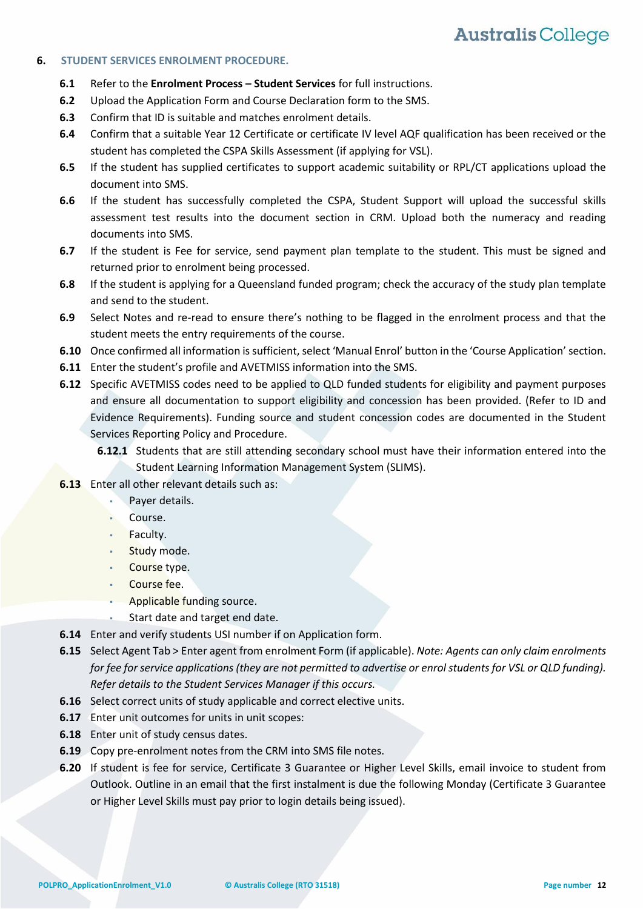### **6. STUDENT SERVICES ENROLMENT PROCEDURE.**

- **6.1** Refer to the **Enrolment Process – Student Services** for full instructions.
- **6.2** Upload the Application Form and Course Declaration form to the SMS.
- **6.3** Confirm that ID is suitable and matches enrolment details.
- **6.4** Confirm that a suitable Year 12 Certificate or certificate IV level AQF qualification has been received or the student has completed the CSPA Skills Assessment (if applying for VSL).
- **6.5** If the student has supplied certificates to support academic suitability or RPL/CT applications upload the document into SMS.
- **6.6** If the student has successfully completed the CSPA, Student Support will upload the successful skills assessment test results into the document section in CRM. Upload both the numeracy and reading documents into SMS.
- **6.7** If the student is Fee for service, send payment plan template to the student. This must be signed and returned prior to enrolment being processed.
- **6.8** If the student is applying for a Queensland funded program; check the accuracy of the study plan template and send to the student.
- **6.9** Select Notes and re-read to ensure there's nothing to be flagged in the enrolment process and that the student meets the entry requirements of the course.
- **6.10** Once confirmed all information is sufficient, select 'Manual Enrol' button in the 'Course Application' section.
- **6.11** Enter the student's profile and AVETMISS information into the SMS.
- **6.12** Specific AVETMISS codes need to be applied to QLD funded students for eligibility and payment purposes and ensure all documentation to support eligibility and concession has been provided. (Refer to ID and Evidence Requirements). Funding source and student concession codes are documented in the Student Services Reporting Policy and Procedure.
	- **6.12.1** Students that are still attending secondary school must have their information entered into the Student Learning Information Management System (SLIMS).
- **6.13** Enter all other relevant details such as:
	- Payer details.
	- Course.
	- **Faculty.**
	- Study mode.
	- Course type.
	- Course fee.
	- Applicable funding source.
	- Start date and target end date.
- **6.14** Enter and verify students USI number if on Application form.
- **6.15** Select Agent Tab > Enter agent from enrolment Form (if applicable). *Note: Agents can only claim enrolments for fee for service applications (they are not permitted to advertise or enrol students for VSL or QLD funding). Refer details to the Student Services Manager if this occurs.*
- **6.16** Select correct units of study applicable and correct elective units.
- **6.17** Enter unit outcomes for units in unit scopes:
- **6.18** Enter unit of study census dates.
- **6.19** Copy pre-enrolment notes from the CRM into SMS file notes.
- **6.20** If student is fee for service, Certificate 3 Guarantee or Higher Level Skills, email invoice to student from Outlook. Outline in an email that the first instalment is due the following Monday (Certificate 3 Guarantee or Higher Level Skills must pay prior to login details being issued).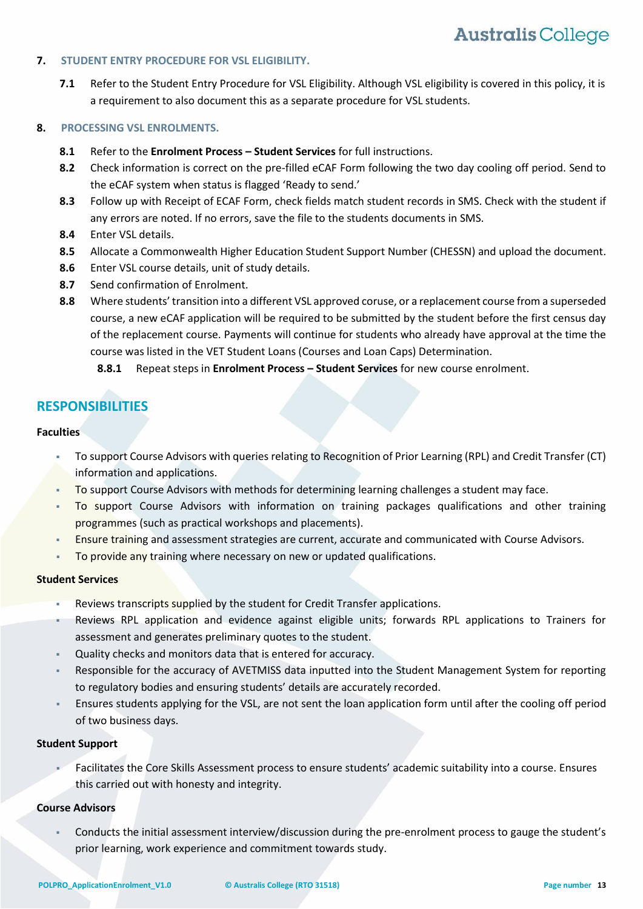### **7. STUDENT ENTRY PROCEDURE FOR VSL ELIGIBILITY.**

**7.1** Refer to the Student Entry Procedure for VSL Eligibility. Although VSL eligibility is covered in this policy, it is a requirement to also document this as a separate procedure for VSL students.

### **8. PROCESSING VSL ENROLMENTS.**

- **8.1** Refer to the **Enrolment Process – Student Services** for full instructions.
- **8.2** Check information is correct on the pre-filled eCAF Form following the two day cooling off period. Send to the eCAF system when status is flagged 'Ready to send.'
- **8.3** Follow up with Receipt of ECAF Form, check fields match student records in SMS. Check with the student if any errors are noted. If no errors, save the file to the students documents in SMS.
- **8.4** Enter VSL details.
- **8.5** Allocate a Commonwealth Higher Education Student Support Number (CHESSN) and upload the document.
- **8.6** Enter VSL course details, unit of study details.
- **8.7** Send confirmation of Enrolment.
- **8.8** Where students'transition into a different VSL approved coruse, or a replacement course from a superseded course, a new eCAF application will be required to be submitted by the student before the first census day of the replacement course. Payments will continue for students who already have approval at the time the course was listed in the VET Student Loans (Courses and Loan Caps) Determination.
	- **8.8.1** Repeat steps in **Enrolment Process – Student Services** for new course enrolment.

## **RESPONSIBILITIES**

### **Faculties**

- To support Course Advisors with queries relating to Recognition of Prior Learning (RPL) and Credit Transfer (CT) information and applications.
- To support Course Advisors with methods for determining learning challenges a student may face.
- To support Course Advisors with information on training packages qualifications and other training programmes (such as practical workshops and placements).
- Ensure training and assessment strategies are current, accurate and communicated with Course Advisors.
- To provide any training where necessary on new or updated qualifications.

### **Student Services**

- Reviews transcripts supplied by the student for Credit Transfer applications.
- Reviews RPL application and evidence against eligible units; forwards RPL applications to Trainers for assessment and generates preliminary quotes to the student.
- Quality checks and monitors data that is entered for accuracy.
- Responsible for the accuracy of AVETMISS data inputted into the Student Management System for reporting to regulatory bodies and ensuring students' details are accurately recorded.
- Ensures students applying for the VSL, are not sent the loan application form until after the cooling off period of two business days.

### **Student Support**

 Facilitates the Core Skills Assessment process to ensure students' academic suitability into a course. Ensures this carried out with honesty and integrity.

### **Course Advisors**

 Conducts the initial assessment interview/discussion during the pre-enrolment process to gauge the student's prior learning, work experience and commitment towards study.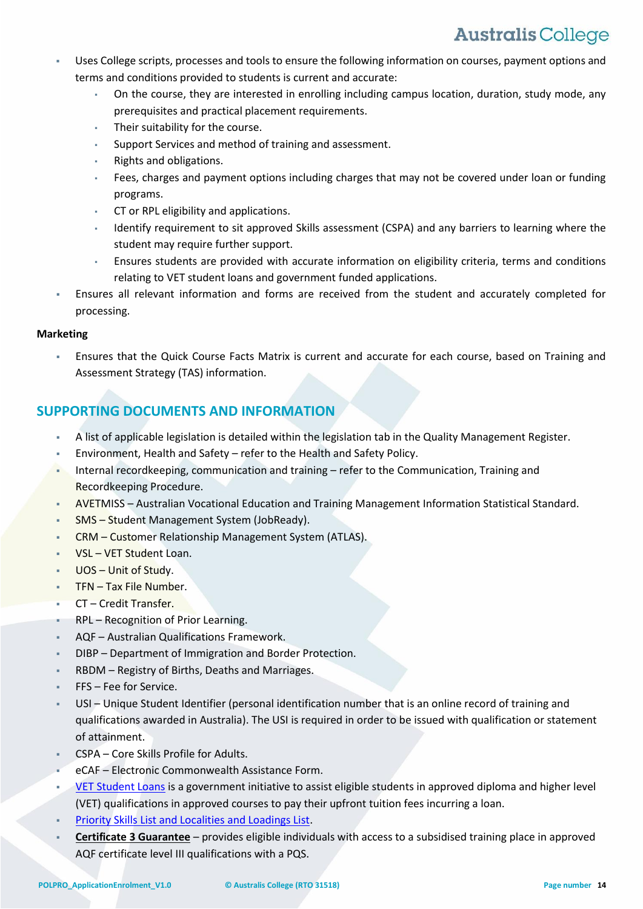- Uses College scripts, processes and tools to ensure the following information on courses, payment options and terms and conditions provided to students is current and accurate:
	- On the course, they are interested in enrolling including campus location, duration, study mode, any prerequisites and practical placement requirements.
	- Their suitability for the course.
	- Support Services and method of training and assessment.
	- Rights and obligations.
	- Fees, charges and payment options including charges that may not be covered under loan or funding programs.
	- CT or RPL eligibility and applications.
	- Identify requirement to sit approved Skills assessment (CSPA) and any barriers to learning where the student may require further support.
	- Ensures students are provided with accurate information on eligibility criteria, terms and conditions relating to VET student loans and government funded applications.
- Ensures all relevant information and forms are received from the student and accurately completed for processing.

### **Marketing**

 Ensures that the Quick Course Facts Matrix is current and accurate for each course, based on Training and Assessment Strategy (TAS) information.

## **SUPPORTING DOCUMENTS AND INFORMATION**

- A list of applicable legislation is detailed within the legislation tab in the Quality Management Register.
- Environment, Health and Safety refer to the Health and Safety Policy.
- Internal recordkeeping, communication and training refer to the Communication, Training and Recordkeeping Procedure.
- AVETMISS Australian Vocational Education and Training Management Information Statistical Standard.
- SMS Student Management System (JobReady).
- CRM Customer Relationship Management System (ATLAS).
- VSL VET Student Loan.
- UOS Unit of Study.
- TFN Tax File Number.
- CT Credit Transfer.
- RPL Recognition of Prior Learning.
- AQF Australian Qualifications Framework.
- DIBP Department of Immigration and Border Protection.
- RBDM Registry of Births, Deaths and Marriages.
- FFS Fee for Service.
- USI Unique Student Identifier (personal identification number that is an online record of training and qualifications awarded in Australia). The USI is required in order to be issued with qualification or statement of attainment.
- CSPA Core Skills Profile for Adults.
- eCAF Electronic Commonwealth Assistance Form.
- [VET](http://studyassist.gov.au/sites/studyassist/helppayingmyfees/vet-fee-help/pages/vet-fee-help) Student Loans is a government initiative to assist eligible students in approved diploma and higher level (VET) qualifications in approved courses to pay their upfront tuition fees incurring a loan.
- [Priority Skills List and Localities and Loadings List.](https://training.qld.gov.au/docs-data/strategies/vetinvest/subsidieslist)
- **Certificate 3 Guarantee** provides eligible individuals with access to a subsidised training place in approved AQF certificate level III qualifications with a PQS.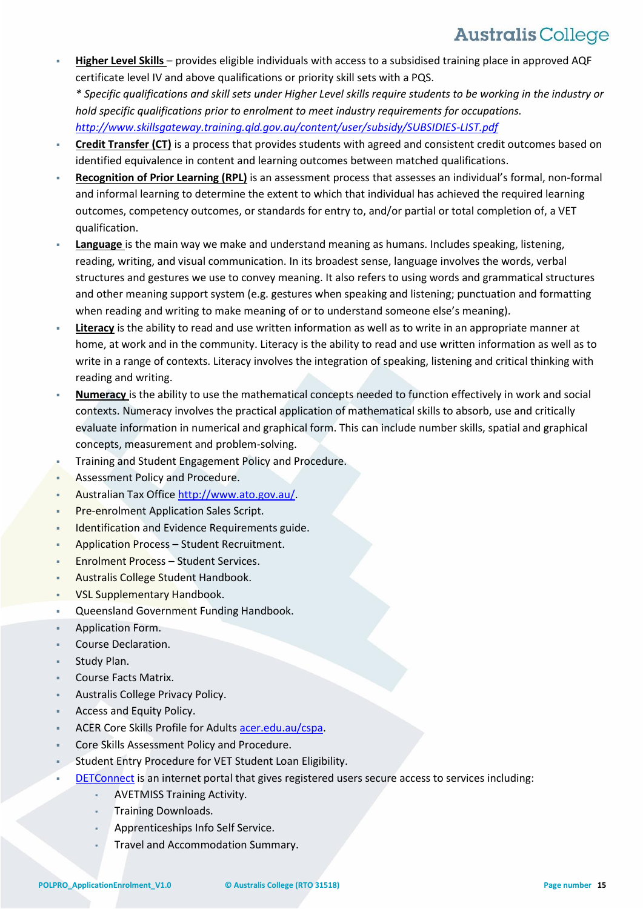- **Higher Level Skills**  provides eligible individuals with access to a subsidised training place in approved AQF certificate level IV and above qualifications or priority skill sets with a PQS. *\* Specific qualifications and skill sets under Higher Level skills require students to be working in the industry or hold specific qualifications prior to enrolment to meet industry requirements for occupations. <http://www.skillsgateway.training.qld.gov.au/content/user/subsidy/SUBSIDIES-LIST.pdf>*
- **Credit Transfer (CT)** is a process that provides students with agreed and consistent credit outcomes based on identified equivalence in content and learning outcomes between matched qualifications.
- **Recognition of Prior Learning (RPL)** is an assessment process that assesses an individual's formal, non-formal and informal learning to determine the extent to which that individual has achieved the required learning outcomes, competency outcomes, or standards for entry to, and/or partial or total completion of, a VET qualification.
- **[Language](http://www.training.gov.au/resources/information/pdf/crux-matter-june-2011.pdf)** is the main way we make and understand meaning as humans. Includes speaking, listening, reading, writing, and visual communication. In its broadest sense, language involves the words, verbal structures and gestures we use to convey meaning. It also refers to using words and grammatical structures and other meaning support system (e.g. gestures when speaking and listening; punctuation and formatting when reading and writing to make meaning of or to understand someone else's meaning).
- **Literacy** is the ability to read and use written information as well as to write in an appropriate manner at home, at work and in the community. Literacy is the ability to read and use written information as well as to write in a range of contexts. Literacy involves the integration of speaking, listening and critical thinking with reading and writing.
- **Numeracy** is the ability to use the mathematical concepts needed to function effectively in work and social contexts. Numeracy involves the practical application of mathematical skills to absorb, use and critically evaluate information in numerical and graphical form. This can include number skills, spatial and graphical concepts, measurement and problem-solving.
- Training and Student Engagement Policy and Procedure.
- Assessment Policy and Procedure.
- Australian Tax Office [http://www.ato.gov.au/.](http://www.ato.gov.au/)
- Pre-enrolment Application Sales Script.
- Identification and Evidence Requirements guide.
- Application Process Student Recruitment.
- Enrolment Process Student Services.
- Australis College Student Handbook.
- VSL Supplementary Handbook.
- Queensland Government Funding Handbook.
- Application Form.
- Course Declaration.
- Study Plan.
- Course Facts Matrix.
- Australis College Privacy Policy.
- Access and Equity Policy.
- ACER Core Skills Profile for Adults [acer.edu.au/cspa.](https://www.acer.edu.au/cspa)
- Core Skills Assessment Policy and Procedure.
- Student Entry Procedure for VET Student Loan Eligibility.
- [DETConnect](https://www.qld.gov.au/education/training-orgs/pages/vetdata.html) is an internet portal that gives registered users secure access to services including:
	- **AVETMISS Training Activity.**
	- **Training Downloads.**
	- Apprenticeships Info Self Service.
	- Travel and Accommodation Summary.